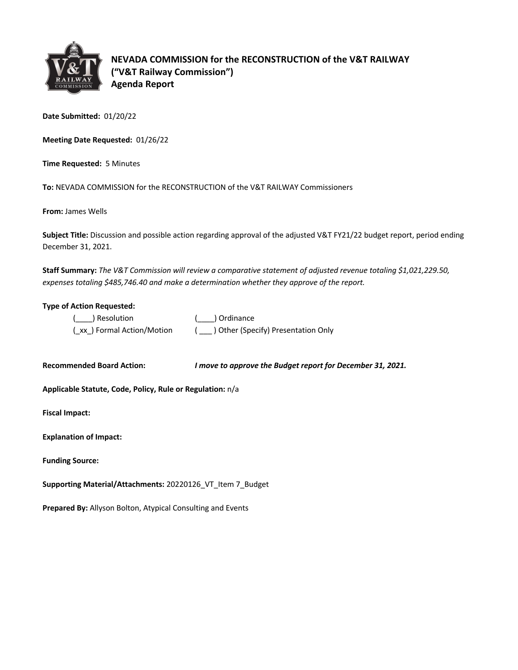

**NEVADA COMMISSION for the RECONSTRUCTION of the V&T RAILWAY ("V&T Railway Commission") Agenda Report**

**Date Submitted:** 01/20/22

**Meeting Date Requested:** 01/26/22

**Time Requested:** 5 Minutes

**To:** NEVADA COMMISSION for the RECONSTRUCTION of the V&T RAILWAY Commissioners

**From:** James Wells

**Subject Title:** Discussion and possible action regarding approval of the adjusted V&T FY21/22 budget report, period ending December 31, 2021.

**Staff Summary:** *The V&T Commission will review a comparative statement of adjusted revenue totaling \$1,021,229.50, expenses totaling \$485,746.40 and make a determination whether they approve of the report.*

#### **Type of Action Requested:**

| ( ) Resolution            | ( ) Ordinance                         |
|---------------------------|---------------------------------------|
| (xx) Formal Action/Motion | ( ) Other (Specify) Presentation Only |

**Recommended Board Action:** *I move to approve the Budget report for December 31, 2021.* 

**Applicable Statute, Code, Policy, Rule or Regulation:** n/a

**Fiscal Impact:**

| <b>Explanation of Impact:</b> |  |
|-------------------------------|--|
|                               |  |

**Funding Source:**

**Supporting Material/Attachments:** 20220126\_VT\_Item 7\_Budget

**Prepared By:** Allyson Bolton, Atypical Consulting and Events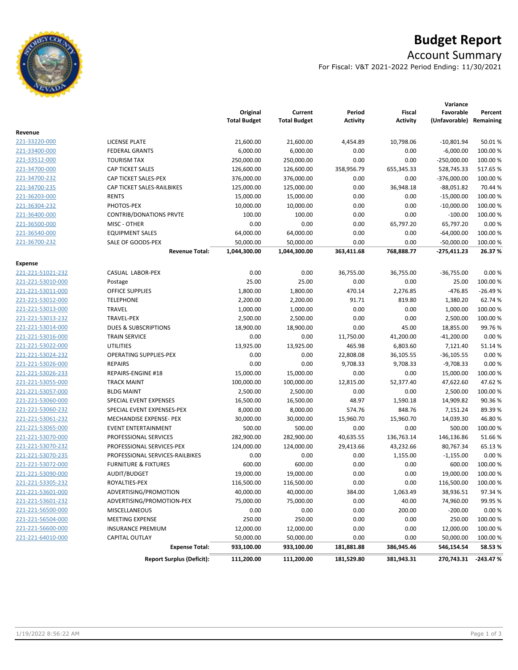

# **Budget Report**

# Account Summary

For Fiscal: V&T 2021-2022 Period Ending: 11/30/2021

|                   |                                  |                                 |                                |                           |                                  | Variance                             |            |
|-------------------|----------------------------------|---------------------------------|--------------------------------|---------------------------|----------------------------------|--------------------------------------|------------|
|                   |                                  | Original<br><b>Total Budget</b> | Current<br><b>Total Budget</b> | Period<br><b>Activity</b> | <b>Fiscal</b><br><b>Activity</b> | Favorable<br>(Unfavorable) Remaining | Percent    |
| Revenue           |                                  |                                 |                                |                           |                                  |                                      |            |
| 221-33220-000     | <b>LICENSE PLATE</b>             | 21,600.00                       | 21,600.00                      | 4,454.89                  | 10,798.06                        | $-10,801.94$                         | 50.01%     |
| 221-33400-000     | <b>FEDERAL GRANTS</b>            | 6,000.00                        | 6,000.00                       | 0.00                      | 0.00                             | $-6,000.00$                          | 100.00%    |
| 221-33512-000     | <b>TOURISM TAX</b>               | 250,000.00                      | 250,000.00                     | 0.00                      | 0.00                             | $-250,000.00$                        | 100.00%    |
| 221-34700-000     | CAP TICKET SALES                 | 126,600.00                      | 126,600.00                     | 358,956.79                | 655,345.33                       | 528,745.33                           | 517.65%    |
| 221-34700-232     | CAP TICKET SALES-PEX             | 376,000.00                      | 376,000.00                     | 0.00                      | 0.00                             | -376,000.00                          | 100.00%    |
| 221-34700-235     | CAP TICKET SALES-RAILBIKES       | 125,000.00                      | 125,000.00                     | 0.00                      | 36,948.18                        | $-88,051.82$                         | 70.44 %    |
| 221-36203-000     | <b>RENTS</b>                     | 15,000.00                       | 15,000.00                      | 0.00                      | 0.00                             | $-15,000.00$                         | 100.00%    |
| 221-36304-232     | PHOTOS-PEX                       | 10,000.00                       | 10,000.00                      | 0.00                      | 0.00                             | $-10,000.00$                         | 100.00%    |
| 221-36400-000     | <b>CONTRIB/DONATIONS PRVTE</b>   | 100.00                          | 100.00                         | 0.00                      | 0.00                             | $-100.00$                            | 100.00 %   |
| 221-36500-000     | MISC - OTHER                     | 0.00                            | 0.00                           | 0.00                      | 65,797.20                        | 65,797.20                            | 0.00%      |
| 221-36540-000     | <b>EQUIPMENT SALES</b>           | 64,000.00                       | 64,000.00                      | 0.00                      | 0.00                             | $-64,000.00$                         | 100.00%    |
| 221-36700-232     | SALE OF GOODS-PEX                | 50,000.00                       | 50,000.00                      | 0.00                      | 0.00                             | $-50,000.00$                         | 100.00%    |
|                   | <b>Revenue Total:</b>            | 1,044,300.00                    | 1,044,300.00                   | 363,411.68                | 768,888.77                       | -275,411.23                          | 26.37%     |
| Expense           |                                  |                                 |                                |                           |                                  |                                      |            |
| 221-221-51021-232 | CASUAL LABOR-PEX                 | 0.00                            | 0.00                           | 36,755.00                 | 36,755.00                        | $-36,755.00$                         | 0.00%      |
| 221-221-53010-000 | Postage                          | 25.00                           | 25.00                          | 0.00                      | 0.00                             | 25.00                                | 100.00 %   |
| 221-221-53011-000 | <b>OFFICE SUPPLIES</b>           | 1,800.00                        | 1,800.00                       | 470.14                    | 2,276.85                         | -476.85                              | -26.49 %   |
| 221-221-53012-000 | <b>TELEPHONE</b>                 | 2,200.00                        | 2,200.00                       | 91.71                     | 819.80                           | 1,380.20                             | 62.74 %    |
| 221-221-53013-000 | <b>TRAVEL</b>                    | 1,000.00                        | 1,000.00                       | 0.00                      | 0.00                             | 1,000.00                             | 100.00%    |
| 221-221-53013-232 | TRAVEL-PEX                       | 2,500.00                        | 2,500.00                       | 0.00                      | 0.00                             | 2,500.00                             | 100.00%    |
| 221-221-53014-000 | <b>DUES &amp; SUBSCRIPTIONS</b>  | 18,900.00                       | 18,900.00                      | 0.00                      | 45.00                            | 18,855.00                            | 99.76%     |
| 221-221-53016-000 | <b>TRAIN SERVICE</b>             | 0.00                            | 0.00                           | 11,750.00                 | 41,200.00                        | $-41,200.00$                         | 0.00%      |
| 221-221-53022-000 | <b>UTILITIES</b>                 | 13,925.00                       | 13,925.00                      | 465.98                    | 6,803.60                         | 7,121.40                             | 51.14 %    |
| 221-221-53024-232 | <b>OPERATING SUPPLIES-PEX</b>    | 0.00                            | 0.00                           | 22,808.08                 | 36,105.55                        | $-36,105.55$                         | 0.00%      |
| 221-221-53026-000 | <b>REPAIRS</b>                   | 0.00                            | 0.00                           | 9,708.33                  | 9,708.33                         | $-9,708.33$                          | 0.00%      |
| 221-221-53026-233 | REPAIRS-ENGINE #18               | 15,000.00                       | 15,000.00                      | 0.00                      | 0.00                             | 15,000.00                            | 100.00%    |
| 221-221-53055-000 | <b>TRACK MAINT</b>               | 100,000.00                      | 100,000.00                     | 12,815.00                 | 52,377.40                        | 47,622.60                            | 47.62%     |
| 221-221-53057-000 | <b>BLDG MAINT</b>                | 2,500.00                        | 2,500.00                       | 0.00                      | 0.00                             | 2,500.00                             | 100.00%    |
| 221-221-53060-000 | SPECIAL EVENT EXPENSES           | 16,500.00                       | 16,500.00                      | 48.97                     | 1,590.18                         | 14,909.82                            | 90.36%     |
| 221-221-53060-232 | SPECIAL EVENT EXPENSES-PEX       | 8,000.00                        | 8,000.00                       | 574.76                    | 848.76                           | 7,151.24                             | 89.39%     |
| 221-221-53061-232 | MECHANDISE EXPENSE- PEX          | 30,000.00                       | 30,000.00                      | 15,960.70                 | 15,960.70                        | 14,039.30                            | 46.80%     |
| 221-221-53065-000 | <b>EVENT ENTERTAINMENT</b>       | 500.00                          | 500.00                         | 0.00                      | 0.00                             | 500.00                               | 100.00%    |
| 221-221-53070-000 | PROFESSIONAL SERVICES            | 282,900.00                      | 282,900.00                     | 40,635.55                 | 136,763.14                       | 146,136.86                           | 51.66%     |
| 221-221-53070-232 | PROFESSIONAL SERVICES-PEX        | 124,000.00                      | 124,000.00                     | 29,413.66                 | 43,232.66                        | 80,767.34                            | 65.13%     |
| 221-221-53070-235 | PROFESSIONAL SERVICES-RAILBIKES  | 0.00                            | 0.00                           | 0.00                      | 1,155.00                         | $-1,155.00$                          | 0.00%      |
| 221-221-53072-000 | <b>FURNITURE &amp; FIXTURES</b>  | 600.00                          | 600.00                         | 0.00                      | 0.00                             | 600.00                               | 100.00%    |
| 221-221-53090-000 | AUDIT/BUDGET                     | 19,000.00                       | 19,000.00                      | 0.00                      | 0.00                             | 19,000.00                            | 100.00%    |
| 221-221-53305-232 | ROYALTIES-PEX                    | 116,500.00                      | 116,500.00                     | 0.00                      | 0.00                             | 116,500.00                           | 100.00 %   |
| 221-221-53601-000 | ADVERTISING/PROMOTION            | 40,000.00                       | 40,000.00                      | 384.00                    | 1,063.49                         | 38,936.51                            | 97.34%     |
| 221-221-53601-232 | ADVERTISING/PROMOTION-PEX        | 75,000.00                       | 75,000.00                      | 0.00                      | 40.00                            | 74,960.00                            | 99.95%     |
| 221-221-56500-000 | MISCELLANEOUS                    | 0.00                            | 0.00                           | 0.00                      | 200.00                           | $-200.00$                            | 0.00%      |
| 221-221-56504-000 | <b>MEETING EXPENSE</b>           | 250.00                          | 250.00                         | 0.00                      | 0.00                             | 250.00                               | 100.00%    |
| 221-221-56600-000 | <b>INSURANCE PREMIUM</b>         | 12,000.00                       | 12,000.00                      | 0.00                      | 0.00                             | 12,000.00                            | 100.00 %   |
| 221-221-64010-000 | CAPITAL OUTLAY                   | 50,000.00                       | 50,000.00                      | 0.00                      | 0.00                             | 50,000.00                            | 100.00%    |
|                   | <b>Expense Total:</b>            | 933,100.00                      | 933,100.00                     | 181,881.88                | 386,945.46                       | 546,154.54                           | 58.53%     |
|                   | <b>Report Surplus (Deficit):</b> | 111,200.00                      | 111,200.00                     | 181,529.80                | 381,943.31                       | 270,743.31                           | $-243.47%$ |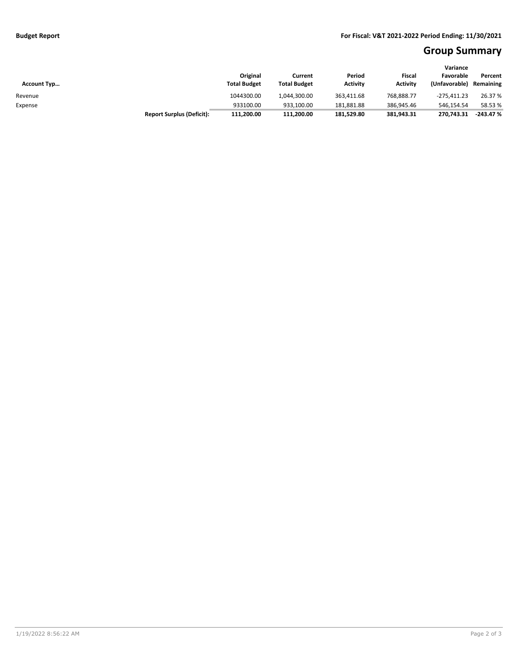# **Group Summary**

| <b>Account Typ</b> |                                  | Original<br><b>Total Budget</b> | Current<br><b>Total Budget</b> | Period<br><b>Activity</b> | Fiscal<br><b>Activity</b> | Variance<br>Favorable<br>(Unfavorable) | Percent<br>Remaining |
|--------------------|----------------------------------|---------------------------------|--------------------------------|---------------------------|---------------------------|----------------------------------------|----------------------|
| Revenue            |                                  | 1044300.00                      | 1.044.300.00                   | 363,411.68                | 768.888.77                | $-275.411.23$                          | 26.37 %              |
| Expense            |                                  | 933100.00                       | 933.100.00                     | 181,881.88                | 386.945.46                | 546.154.54                             | 58.53 %              |
|                    | <b>Report Surplus (Deficit):</b> | 111,200.00                      | 111,200.00                     | 181,529.80                | 381,943.31                | 270.743.31                             | $-243.47%$           |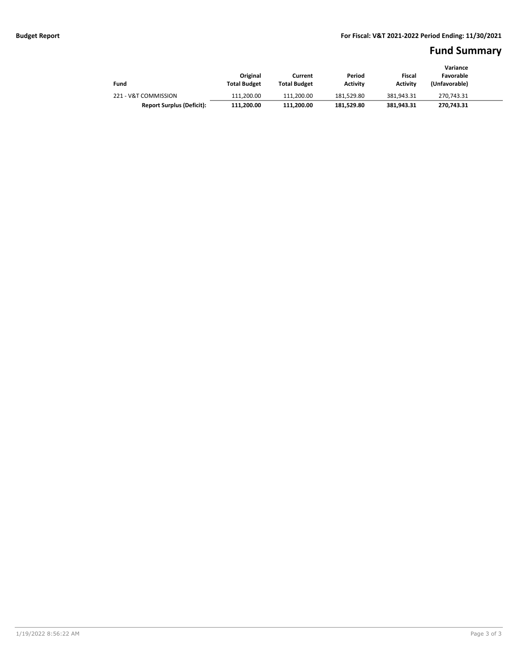### **Fund Summary**

|                                  |                     |                     |                 |                 | Variance      |
|----------------------------------|---------------------|---------------------|-----------------|-----------------|---------------|
|                                  | Original            | Current             | Period          | Fiscal          | Favorable     |
| Fund                             | <b>Total Budget</b> | <b>Total Budget</b> | <b>Activity</b> | <b>Activity</b> | (Unfavorable) |
| 221 - V&T COMMISSION             | 111.200.00          | 111.200.00          | 181.529.80      | 381.943.31      | 270.743.31    |
| <b>Report Surplus (Deficit):</b> | 111.200.00          | 111.200.00          | 181.529.80      | 381.943.31      | 270,743.31    |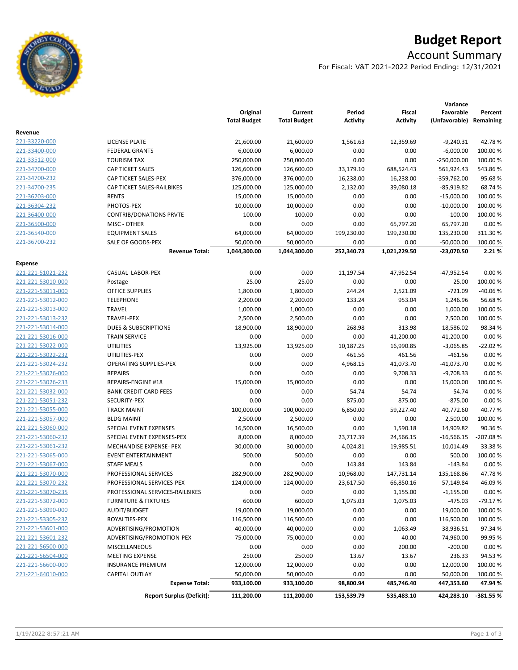

# **Budget Report**

# Account Summary

For Fiscal: V&T 2021-2022 Period Ending: 12/31/2021

|                          |                                                    | Original<br><b>Total Budget</b> | Current<br><b>Total Budget</b> | Period           | Fiscal          | Variance<br>Favorable<br>(Unfavorable) Remaining | Percent          |
|--------------------------|----------------------------------------------------|---------------------------------|--------------------------------|------------------|-----------------|--------------------------------------------------|------------------|
|                          |                                                    |                                 |                                | <b>Activity</b>  | <b>Activity</b> |                                                  |                  |
| Revenue<br>221-33220-000 | <b>LICENSE PLATE</b>                               | 21,600.00                       | 21,600.00                      | 1,561.63         | 12,359.69       | $-9,240.31$                                      | 42.78%           |
| 221-33400-000            | <b>FEDERAL GRANTS</b>                              | 6,000.00                        | 6,000.00                       | 0.00             | 0.00            | $-6,000.00$                                      | 100.00%          |
| 221-33512-000            | <b>TOURISM TAX</b>                                 | 250,000.00                      | 250,000.00                     | 0.00             | 0.00            | $-250,000.00$                                    | 100.00%          |
| 221-34700-000            | CAP TICKET SALES                                   |                                 | 126,600.00                     |                  | 688,524.43      | 561,924.43                                       | 543.86%          |
| 221-34700-232            |                                                    | 126,600.00                      |                                | 33,179.10        |                 |                                                  |                  |
| 221-34700-235            | CAP TICKET SALES-PEX<br>CAP TICKET SALES-RAILBIKES | 376,000.00                      | 376,000.00                     | 16,238.00        | 16,238.00       | -359,762.00                                      | 95.68%<br>68.74% |
| 221-36203-000            | <b>RENTS</b>                                       | 125,000.00                      | 125,000.00                     | 2,132.00<br>0.00 | 39,080.18       | $-85,919.82$<br>$-15,000.00$                     |                  |
|                          | PHOTOS-PEX                                         | 15,000.00                       | 15,000.00<br>10,000.00         |                  | 0.00            | $-10,000.00$                                     | 100.00%          |
| 221-36304-232            |                                                    | 10,000.00                       |                                | 0.00             | 0.00            |                                                  | 100.00%          |
| 221-36400-000            | <b>CONTRIB/DONATIONS PRVTE</b>                     | 100.00                          | 100.00                         | 0.00             | 0.00            | $-100.00$                                        | 100.00 %         |
| 221-36500-000            | MISC - OTHER                                       | 0.00                            | 0.00                           | 0.00             | 65,797.20       | 65,797.20                                        | 0.00%            |
| 221-36540-000            | <b>EQUIPMENT SALES</b>                             | 64,000.00                       | 64,000.00                      | 199,230.00       | 199,230.00      | 135,230.00                                       | 311.30%          |
| 221-36700-232            | SALE OF GOODS-PEX                                  | 50,000.00                       | 50,000.00                      | 0.00             | 0.00            | $-50,000.00$                                     | 100.00 %         |
|                          | <b>Revenue Total:</b>                              | 1,044,300.00                    | 1,044,300.00                   | 252,340.73       | 1,021,229.50    | -23,070.50                                       | 2.21%            |
| Expense                  |                                                    |                                 |                                |                  |                 |                                                  |                  |
| 221-221-51021-232        | CASUAL LABOR-PEX                                   | 0.00                            | 0.00                           | 11,197.54        | 47,952.54       | -47,952.54                                       | 0.00%            |
| 221-221-53010-000        | Postage                                            | 25.00                           | 25.00                          | 0.00             | 0.00            | 25.00                                            | 100.00%          |
| 221-221-53011-000        | <b>OFFICE SUPPLIES</b>                             | 1,800.00                        | 1,800.00                       | 244.24           | 2,521.09        | $-721.09$                                        | $-40.06%$        |
| 221-221-53012-000        | <b>TELEPHONE</b>                                   | 2,200.00                        | 2,200.00                       | 133.24           | 953.04          | 1,246.96                                         | 56.68%           |
| 221-221-53013-000        | TRAVEL                                             | 1,000.00                        | 1,000.00                       | 0.00             | 0.00            | 1,000.00                                         | 100.00%          |
| 221-221-53013-232        | <b>TRAVEL-PEX</b>                                  | 2,500.00                        | 2,500.00                       | 0.00             | 0.00            | 2,500.00                                         | 100.00%          |
| 221-221-53014-000        | <b>DUES &amp; SUBSCRIPTIONS</b>                    | 18,900.00                       | 18,900.00                      | 268.98           | 313.98          | 18,586.02                                        | 98.34%           |
| 221-221-53016-000        | <b>TRAIN SERVICE</b>                               | 0.00                            | 0.00                           | 0.00             | 41,200.00       | $-41,200.00$                                     | 0.00%            |
| 221-221-53022-000        | <b>UTILITIES</b>                                   | 13,925.00                       | 13,925.00                      | 10,187.25        | 16,990.85       | $-3,065.85$                                      | $-22.02%$        |
| 221-221-53022-232        | UTILITIES-PEX                                      | 0.00                            | 0.00                           | 461.56           | 461.56          | -461.56                                          | 0.00%            |
| 221-221-53024-232        | OPERATING SUPPLIES-PEX                             | 0.00                            | 0.00                           | 4,968.15         | 41,073.70       | $-41,073.70$                                     | 0.00%            |
| 221-221-53026-000        | <b>REPAIRS</b>                                     | 0.00                            | 0.00                           | 0.00             | 9,708.33        | $-9,708.33$                                      | 0.00%            |
| 221-221-53026-233        | REPAIRS-ENGINE #18                                 | 15,000.00                       | 15,000.00                      | 0.00             | 0.00            | 15,000.00                                        | 100.00%          |
| 221-221-53032-000        | <b>BANK CREDIT CARD FEES</b>                       | 0.00                            | 0.00                           | 54.74            | 54.74           | $-54.74$                                         | 0.00%            |
| 221-221-53051-232        | SECURITY-PEX                                       | 0.00                            | 0.00                           | 875.00           | 875.00          | $-875.00$                                        | 0.00%            |
| 221-221-53055-000        | <b>TRACK MAINT</b>                                 | 100,000.00                      | 100,000.00                     | 6,850.00         | 59,227.40       | 40,772.60                                        | 40.77%           |
| 221-221-53057-000        | <b>BLDG MAINT</b>                                  | 2,500.00                        | 2,500.00                       | 0.00             | 0.00            | 2,500.00                                         | 100.00%          |
| 221-221-53060-000        | SPECIAL EVENT EXPENSES                             | 16,500.00                       | 16,500.00                      | 0.00             | 1,590.18        | 14,909.82                                        | 90.36%           |
| 221-221-53060-232        | SPECIAL EVENT EXPENSES-PEX                         | 8,000.00                        | 8,000.00                       | 23,717.39        | 24,566.15       | $-16,566.15$                                     | -207.08%         |
| 221-221-53061-232        | MECHANDISE EXPENSE- PEX                            | 30,000.00                       | 30,000.00                      | 4,024.81         | 19,985.51       | 10,014.49                                        | 33.38%           |
| 221-221-53065-000        | <b>EVENT ENTERTAINMENT</b>                         | 500.00                          | 500.00                         | 0.00             | 0.00            | 500.00                                           | 100.00 %         |
| 221-221-53067-000        | <b>STAFF MEALS</b>                                 | 0.00                            | 0.00                           | 143.84           | 143.84          | $-143.84$                                        | 0.00%            |
| 221-221-53070-000        | PROFESSIONAL SERVICES                              | 282,900.00                      | 282,900.00                     | 10,968.00        | 147,731.14      | 135,168.86                                       | 47.78%           |
| 221-221-53070-232        | PROFESSIONAL SERVICES-PEX                          | 124,000.00                      | 124,000.00                     | 23,617.50        | 66,850.16       | 57,149.84                                        | 46.09 %          |
| 221-221-53070-235        | PROFESSIONAL SERVICES-RAILBIKES                    | 0.00                            | 0.00                           | 0.00             | 1,155.00        | $-1,155.00$                                      | 0.00%            |
| 221-221-53072-000        | <b>FURNITURE &amp; FIXTURES</b>                    | 600.00                          | 600.00                         | 1,075.03         | 1,075.03        | $-475.03$                                        | $-79.17%$        |
| 221-221-53090-000        | AUDIT/BUDGET                                       | 19,000.00                       | 19,000.00                      | 0.00             | 0.00            | 19,000.00                                        | 100.00 %         |
| 221-221-53305-232        | ROYALTIES-PEX                                      | 116,500.00                      | 116,500.00                     | 0.00             | 0.00            | 116,500.00                                       | 100.00 %         |
| 221-221-53601-000        | ADVERTISING/PROMOTION                              | 40,000.00                       | 40,000.00                      | 0.00             | 1,063.49        | 38,936.51                                        | 97.34 %          |
| 221-221-53601-232        | ADVERTISING/PROMOTION-PEX                          | 75,000.00                       | 75,000.00                      | 0.00             | 40.00           | 74,960.00                                        | 99.95 %          |
| 221-221-56500-000        | MISCELLANEOUS                                      | 0.00                            | 0.00                           | 0.00             | 200.00          | $-200.00$                                        | 0.00%            |
| 221-221-56504-000        | MEETING EXPENSE                                    | 250.00                          | 250.00                         | 13.67            | 13.67           | 236.33                                           | 94.53%           |
| 221-221-56600-000        | <b>INSURANCE PREMIUM</b>                           | 12,000.00                       | 12,000.00                      | 0.00             | 0.00            | 12,000.00                                        | 100.00 %         |
| 221-221-64010-000        | CAPITAL OUTLAY                                     | 50,000.00                       | 50,000.00                      | 0.00             | 0.00            | 50,000.00                                        | 100.00 %         |
|                          | <b>Expense Total:</b>                              | 933,100.00                      | 933,100.00                     | 98,800.94        | 485,746.40      | 447,353.60                                       | 47.94%           |
|                          | <b>Report Surplus (Deficit):</b>                   | 111,200.00                      | 111,200.00                     | 153,539.79       | 535,483.10      | 424,283.10                                       | -381.55 %        |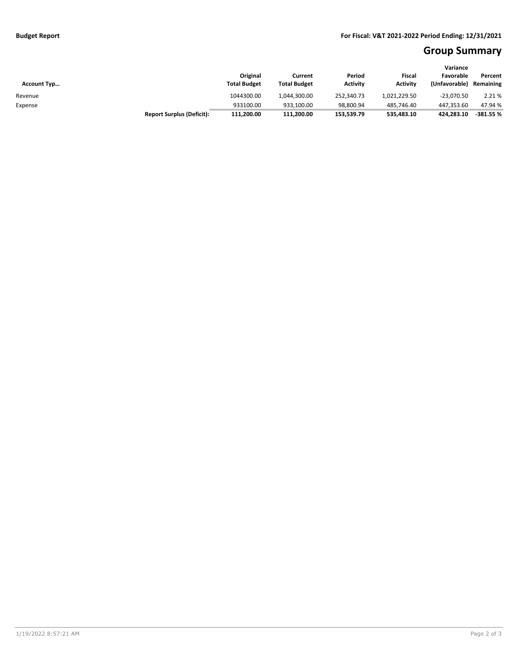# **Group Summary**

| <b>Account Typ</b> |                                  | Original<br><b>Total Budget</b> | Current<br><b>Total Budget</b> | Period<br><b>Activity</b> | Fiscal<br><b>Activity</b> | Variance<br>Favorable<br>(Unfavorable) | Percent<br>Remaining |
|--------------------|----------------------------------|---------------------------------|--------------------------------|---------------------------|---------------------------|----------------------------------------|----------------------|
| Revenue            |                                  | 1044300.00                      | 1.044.300.00                   | 252.340.73                | 1.021.229.50              | $-23.070.50$                           | 2.21%                |
| Expense            |                                  | 933100.00                       | 933.100.00                     | 98.800.94                 | 485.746.40                | 447.353.60                             | 47.94 %              |
|                    | <b>Report Surplus (Deficit):</b> | 111,200.00                      | 111,200.00                     | 153,539.79                | 535,483.10                | 424.283.10                             | $-381.55%$           |